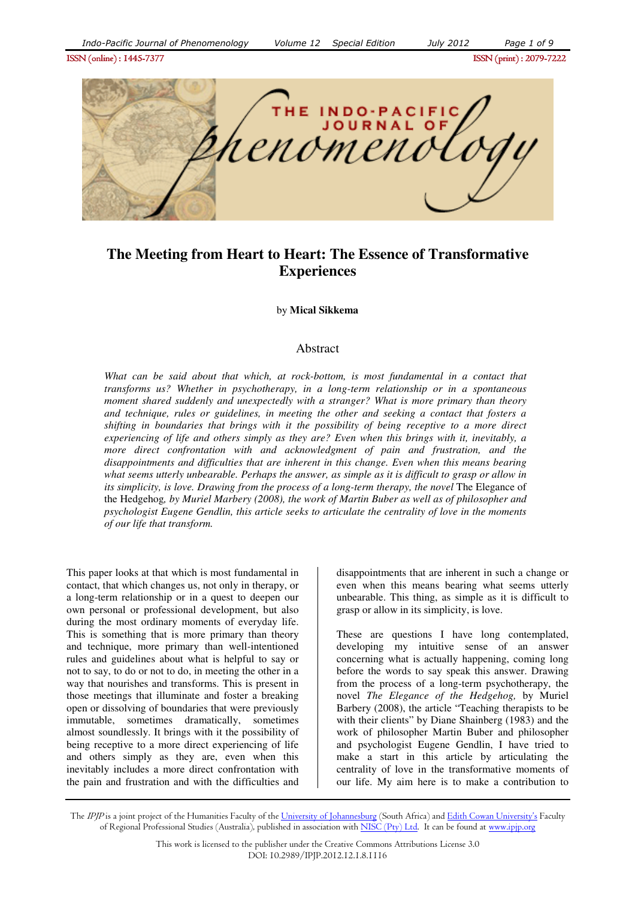ISSN (online) : 1445- ISSN (online) : 1445-7377ISSN (print) : 2079- ISSN : 2079-7222



# **The Meeting from Heart to Heart: The Essence of Transformative Experiences**

### by **Mical Sikkema**

## Abstract

*What can be said about that which, at rock-bottom, is most fundamental in a contact that transforms us? Whether in psychotherapy, in a long-term relationship or in a spontaneous moment shared suddenly and unexpectedly with a stranger? What is more primary than theory and technique, rules or guidelines, in meeting the other and seeking a contact that fosters a shifting in boundaries that brings with it the possibility of being receptive to a more direct experiencing of life and others simply as they are? Even when this brings with it, inevitably, a more direct confrontation with and acknowledgment of pain and frustration, and the disappointments and difficulties that are inherent in this change. Even when this means bearing what seems utterly unbearable. Perhaps the answer, as simple as it is difficult to grasp or allow in its simplicity, is love. Drawing from the process of a long-term therapy, the novel The Elegance of* the Hedgehog*, by Muriel Marbery (2008), the work of Martin Buber as well as of philosopher and psychologist Eugene Gendlin, this article seeks to articulate the centrality of love in the moments of our life that transform.* 

This paper looks at that which is most fundamental in contact, that which changes us, not only in therapy, or a long-term relationship or in a quest to deepen our own personal or professional development, but also during the most ordinary moments of everyday life. This is something that is more primary than theory and technique, more primary than well-intentioned rules and guidelines about what is helpful to say or not to say, to do or not to do, in meeting the other in a way that nourishes and transforms. This is present in those meetings that illuminate and foster a breaking open or dissolving of boundaries that were previously immutable, sometimes dramatically, sometimes almost soundlessly. It brings with it the possibility of being receptive to a more direct experiencing of life and others simply as they are, even when this inevitably includes a more direct confrontation with the pain and frustration and with the difficulties and disappointments that are inherent in such a change or even when this means bearing what seems utterly unbearable. This thing, as simple as it is difficult to grasp or allow in its simplicity, is love.

These are questions I have long contemplated, developing my intuitive sense of an answer concerning what is actually happening, coming long before the words to say speak this answer. Drawing from the process of a long-term psychotherapy, the novel *The Elegance of the Hedgehog,* by Muriel Barbery (2008), the article "Teaching therapists to be with their clients" by Diane Shainberg (1983) and the work of philosopher Martin Buber and philosopher and psychologist Eugene Gendlin, I have tried to make a start in this article by articulating the centrality of love in the transformative moments of our life. My aim here is to make a contribution to

The IPJP is a joint project of the Humanities Faculty of the University of Johannesburg (South Africa) and Edith Cowan University's Faculty of Regional Professional Studies (Australia), published in association with NISC (Pty) Ltd. It can be found at www.ipip.org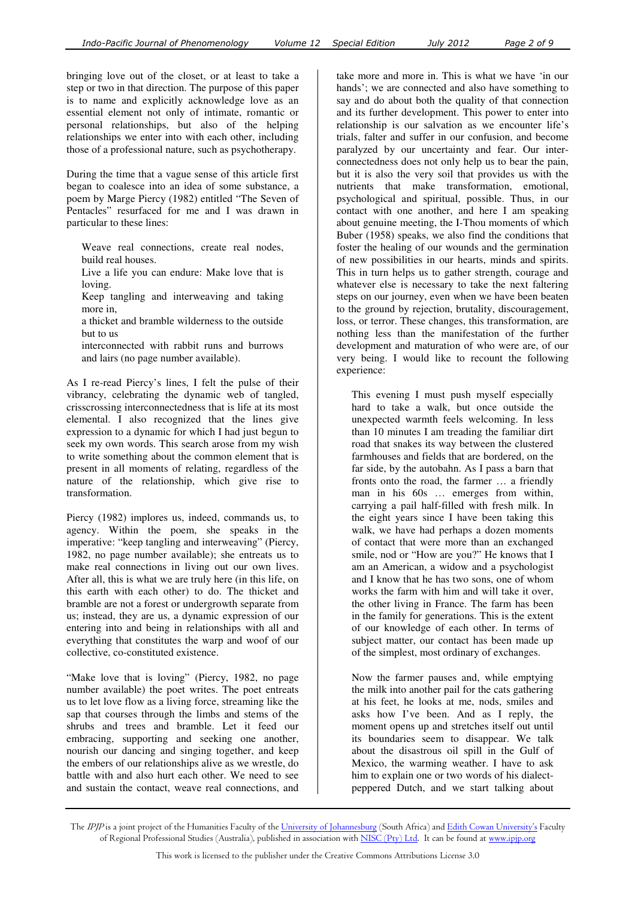bringing love out of the closet, or at least to take a step or two in that direction. The purpose of this paper is to name and explicitly acknowledge love as an essential element not only of intimate, romantic or personal relationships, but also of the helping relationships we enter into with each other, including those of a professional nature, such as psychotherapy.

During the time that a vague sense of this article first began to coalesce into an idea of some substance, a poem by Marge Piercy (1982) entitled "The Seven of Pentacles" resurfaced for me and I was drawn in particular to these lines:

Weave real connections, create real nodes, build real houses.

Live a life you can endure: Make love that is loving.

Keep tangling and interweaving and taking more in,

a thicket and bramble wilderness to the outside but to us

interconnected with rabbit runs and burrows and lairs (no page number available).

As I re-read Piercy's lines, I felt the pulse of their vibrancy, celebrating the dynamic web of tangled, crisscrossing interconnectedness that is life at its most elemental. I also recognized that the lines give expression to a dynamic for which I had just begun to seek my own words. This search arose from my wish to write something about the common element that is present in all moments of relating, regardless of the nature of the relationship, which give rise to transformation.

Piercy (1982) implores us, indeed, commands us, to agency. Within the poem, she speaks in the imperative: "keep tangling and interweaving" (Piercy, 1982, no page number available); she entreats us to make real connections in living out our own lives. After all, this is what we are truly here (in this life, on this earth with each other) to do. The thicket and bramble are not a forest or undergrowth separate from us; instead, they are us, a dynamic expression of our entering into and being in relationships with all and everything that constitutes the warp and woof of our collective, co-constituted existence.

"Make love that is loving" (Piercy, 1982, no page number available) the poet writes. The poet entreats us to let love flow as a living force, streaming like the sap that courses through the limbs and stems of the shrubs and trees and bramble. Let it feed our embracing, supporting and seeking one another, nourish our dancing and singing together, and keep the embers of our relationships alive as we wrestle, do battle with and also hurt each other. We need to see and sustain the contact, weave real connections, and

take more and more in. This is what we have 'in our hands'; we are connected and also have something to say and do about both the quality of that connection and its further development. This power to enter into relationship is our salvation as we encounter life's trials, falter and suffer in our confusion, and become paralyzed by our uncertainty and fear. Our interconnectedness does not only help us to bear the pain, but it is also the very soil that provides us with the nutrients that make transformation, emotional, psychological and spiritual, possible. Thus, in our contact with one another, and here I am speaking about genuine meeting, the I-Thou moments of which Buber (1958) speaks, we also find the conditions that foster the healing of our wounds and the germination of new possibilities in our hearts, minds and spirits. This in turn helps us to gather strength, courage and whatever else is necessary to take the next faltering steps on our journey, even when we have been beaten to the ground by rejection, brutality, discouragement, loss, or terror. These changes, this transformation, are nothing less than the manifestation of the further development and maturation of who were are, of our very being. I would like to recount the following experience:

This evening I must push myself especially hard to take a walk, but once outside the unexpected warmth feels welcoming. In less than 10 minutes I am treading the familiar dirt road that snakes its way between the clustered farmhouses and fields that are bordered, on the far side, by the autobahn. As I pass a barn that fronts onto the road, the farmer … a friendly man in his  $60s$  ... emerges from within, carrying a pail half-filled with fresh milk. In the eight years since I have been taking this walk, we have had perhaps a dozen moments of contact that were more than an exchanged smile, nod or "How are you?" He knows that I am an American, a widow and a psychologist and I know that he has two sons, one of whom works the farm with him and will take it over, the other living in France. The farm has been in the family for generations. This is the extent of our knowledge of each other. In terms of subject matter, our contact has been made up of the simplest, most ordinary of exchanges.

Now the farmer pauses and, while emptying the milk into another pail for the cats gathering at his feet, he looks at me, nods, smiles and asks how I've been. And as I reply, the moment opens up and stretches itself out until its boundaries seem to disappear. We talk about the disastrous oil spill in the Gulf of Mexico, the warming weather. I have to ask him to explain one or two words of his dialectpeppered Dutch, and we start talking about

The IPJP is a joint project of the Humanities Faculty of the University of Johannesburg (South Africa) and Edith Cowan University's Faculty of Regional Professional Studies (Australia), published in association with NISC (Pty) Ltd. It can be found at www.ipjp.org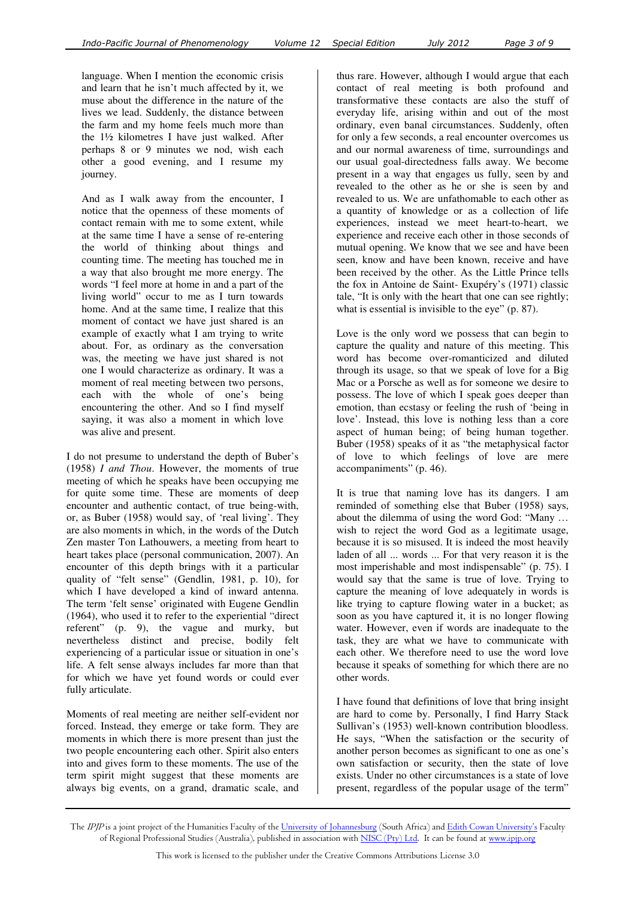language. When I mention the economic crisis and learn that he isn't much affected by it, we muse about the difference in the nature of the lives we lead. Suddenly, the distance between the farm and my home feels much more than the 1½ kilometres I have just walked. After perhaps 8 or 9 minutes we nod, wish each other a good evening, and I resume my journey.

And as I walk away from the encounter, I notice that the openness of these moments of contact remain with me to some extent, while at the same time I have a sense of re-entering the world of thinking about things and counting time. The meeting has touched me in a way that also brought me more energy. The words "I feel more at home in and a part of the living world" occur to me as I turn towards home. And at the same time, I realize that this moment of contact we have just shared is an example of exactly what I am trying to write about. For, as ordinary as the conversation was, the meeting we have just shared is not one I would characterize as ordinary. It was a moment of real meeting between two persons, each with the whole of one's being encountering the other. And so I find myself saying, it was also a moment in which love was alive and present.

I do not presume to understand the depth of Buber's (1958) *I and Thou*. However, the moments of true meeting of which he speaks have been occupying me for quite some time. These are moments of deep encounter and authentic contact, of true being-with, or, as Buber (1958) would say, of 'real living'. They are also moments in which, in the words of the Dutch Zen master Ton Lathouwers, a meeting from heart to heart takes place (personal communication, 2007). An encounter of this depth brings with it a particular quality of "felt sense" (Gendlin, 1981, p. 10), for which I have developed a kind of inward antenna. The term 'felt sense' originated with Eugene Gendlin (1964), who used it to refer to the experiential "direct referent" (p. 9), the vague and murky, but nevertheless distinct and precise, bodily felt experiencing of a particular issue or situation in one's life. A felt sense always includes far more than that for which we have yet found words or could ever fully articulate.

Moments of real meeting are neither self-evident nor forced. Instead, they emerge or take form. They are moments in which there is more present than just the two people encountering each other. Spirit also enters into and gives form to these moments. The use of the term spirit might suggest that these moments are always big events, on a grand, dramatic scale, and

thus rare. However, although I would argue that each contact of real meeting is both profound and transformative these contacts are also the stuff of everyday life, arising within and out of the most ordinary, even banal circumstances. Suddenly, often for only a few seconds, a real encounter overcomes us and our normal awareness of time, surroundings and our usual goal-directedness falls away. We become present in a way that engages us fully, seen by and revealed to the other as he or she is seen by and revealed to us. We are unfathomable to each other as a quantity of knowledge or as a collection of life experiences, instead we meet heart-to-heart, we experience and receive each other in those seconds of mutual opening. We know that we see and have been seen, know and have been known, receive and have been received by the other. As the Little Prince tells the fox in Antoine de Saint- Exupéry's (1971) classic tale, "It is only with the heart that one can see rightly; what is essential is invisible to the eye" (p. 87).

Love is the only word we possess that can begin to capture the quality and nature of this meeting. This word has become over-romanticized and diluted through its usage, so that we speak of love for a Big Mac or a Porsche as well as for someone we desire to possess. The love of which I speak goes deeper than emotion, than ecstasy or feeling the rush of 'being in love'. Instead, this love is nothing less than a core aspect of human being; of being human together. Buber (1958) speaks of it as "the metaphysical factor of love to which feelings of love are mere accompaniments" (p. 46).

It is true that naming love has its dangers. I am reminded of something else that Buber (1958) says, about the dilemma of using the word God: "Many … wish to reject the word God as a legitimate usage, because it is so misused. It is indeed the most heavily laden of all ... words ... For that very reason it is the most imperishable and most indispensable" (p. 75). I would say that the same is true of love. Trying to capture the meaning of love adequately in words is like trying to capture flowing water in a bucket; as soon as you have captured it, it is no longer flowing water. However, even if words are inadequate to the task, they are what we have to communicate with each other. We therefore need to use the word love because it speaks of something for which there are no other words.

I have found that definitions of love that bring insight are hard to come by. Personally, I find Harry Stack Sullivan's (1953) well-known contribution bloodless. He says, "When the satisfaction or the security of another person becomes as significant to one as one's own satisfaction or security, then the state of love exists. Under no other circumstances is a state of love present, regardless of the popular usage of the term"

The *IPJP* is a joint project of the Humanities Faculty of the <u>University of Johannesburg</u> (South Africa) and <u>Edith Cowan University's</u> Faculty of Regional Professional Studies (Australia), published in association with <u>NISC (Pty) Ltd</u>. It can be found at <u>www.ipjp.org</u>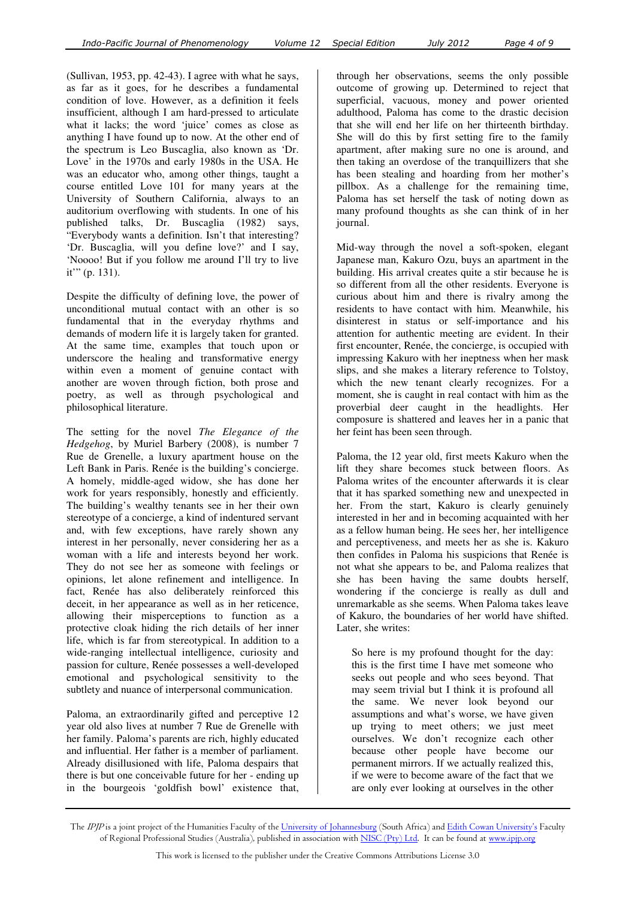(Sullivan, 1953, pp. 42-43). I agree with what he says, as far as it goes, for he describes a fundamental condition of love. However, as a definition it feels insufficient, although I am hard-pressed to articulate what it lacks; the word 'juice' comes as close as anything I have found up to now. At the other end of the spectrum is Leo Buscaglia, also known as 'Dr. Love' in the 1970s and early 1980s in the USA. He was an educator who, among other things, taught a course entitled Love 101 for many years at the University of Southern California, always to an auditorium overflowing with students. In one of his published talks, Dr. Buscaglia (1982) says, "Everybody wants a definition. Isn't that interesting? 'Dr. Buscaglia, will you define love?' and I say, 'Noooo! But if you follow me around I'll try to live it'" (p. 131).

Despite the difficulty of defining love, the power of unconditional mutual contact with an other is so fundamental that in the everyday rhythms and demands of modern life it is largely taken for granted. At the same time, examples that touch upon or underscore the healing and transformative energy within even a moment of genuine contact with another are woven through fiction, both prose and poetry, as well as through psychological and philosophical literature.

The setting for the novel *The Elegance of the Hedgehog*, by Muriel Barbery (2008), is number 7 Rue de Grenelle, a luxury apartment house on the Left Bank in Paris. Renée is the building's concierge. A homely, middle-aged widow, she has done her work for years responsibly, honestly and efficiently. The building's wealthy tenants see in her their own stereotype of a concierge, a kind of indentured servant and, with few exceptions, have rarely shown any interest in her personally, never considering her as a woman with a life and interests beyond her work. They do not see her as someone with feelings or opinions, let alone refinement and intelligence. In fact, Renée has also deliberately reinforced this deceit, in her appearance as well as in her reticence, allowing their misperceptions to function as a protective cloak hiding the rich details of her inner life, which is far from stereotypical. In addition to a wide-ranging intellectual intelligence, curiosity and passion for culture, Renée possesses a well-developed emotional and psychological sensitivity to the subtlety and nuance of interpersonal communication.

Paloma, an extraordinarily gifted and perceptive 12 year old also lives at number 7 Rue de Grenelle with her family. Paloma's parents are rich, highly educated and influential. Her father is a member of parliament. Already disillusioned with life, Paloma despairs that there is but one conceivable future for her - ending up in the bourgeois 'goldfish bowl' existence that,

through her observations, seems the only possible outcome of growing up. Determined to reject that superficial, vacuous, money and power oriented adulthood, Paloma has come to the drastic decision that she will end her life on her thirteenth birthday. She will do this by first setting fire to the family apartment, after making sure no one is around, and then taking an overdose of the tranquillizers that she has been stealing and hoarding from her mother's pillbox. As a challenge for the remaining time, Paloma has set herself the task of noting down as many profound thoughts as she can think of in her journal.

Mid-way through the novel a soft-spoken, elegant Japanese man, Kakuro Ozu, buys an apartment in the building. His arrival creates quite a stir because he is so different from all the other residents. Everyone is curious about him and there is rivalry among the residents to have contact with him. Meanwhile, his disinterest in status or self-importance and his attention for authentic meeting are evident. In their first encounter, Renée, the concierge, is occupied with impressing Kakuro with her ineptness when her mask slips, and she makes a literary reference to Tolstoy, which the new tenant clearly recognizes. For a moment, she is caught in real contact with him as the proverbial deer caught in the headlights. Her composure is shattered and leaves her in a panic that her feint has been seen through.

Paloma, the 12 year old, first meets Kakuro when the lift they share becomes stuck between floors. As Paloma writes of the encounter afterwards it is clear that it has sparked something new and unexpected in her. From the start, Kakuro is clearly genuinely interested in her and in becoming acquainted with her as a fellow human being. He sees her, her intelligence and perceptiveness, and meets her as she is. Kakuro then confides in Paloma his suspicions that Renée is not what she appears to be, and Paloma realizes that she has been having the same doubts herself, wondering if the concierge is really as dull and unremarkable as she seems. When Paloma takes leave of Kakuro, the boundaries of her world have shifted. Later, she writes:

So here is my profound thought for the day: this is the first time I have met someone who seeks out people and who sees beyond. That may seem trivial but I think it is profound all the same. We never look beyond our assumptions and what's worse, we have given up trying to meet others; we just meet ourselves. We don't recognize each other because other people have become our permanent mirrors. If we actually realized this, if we were to become aware of the fact that we are only ever looking at ourselves in the other

The IPJP is a joint project of the Humanities Faculty of the University of Johannesburg (South Africa) and Edith Cowan University's Faculty of Regional Professional Studies (Australia), published in association with NISC (Pty) Ltd. It can be found at www.ipjp.org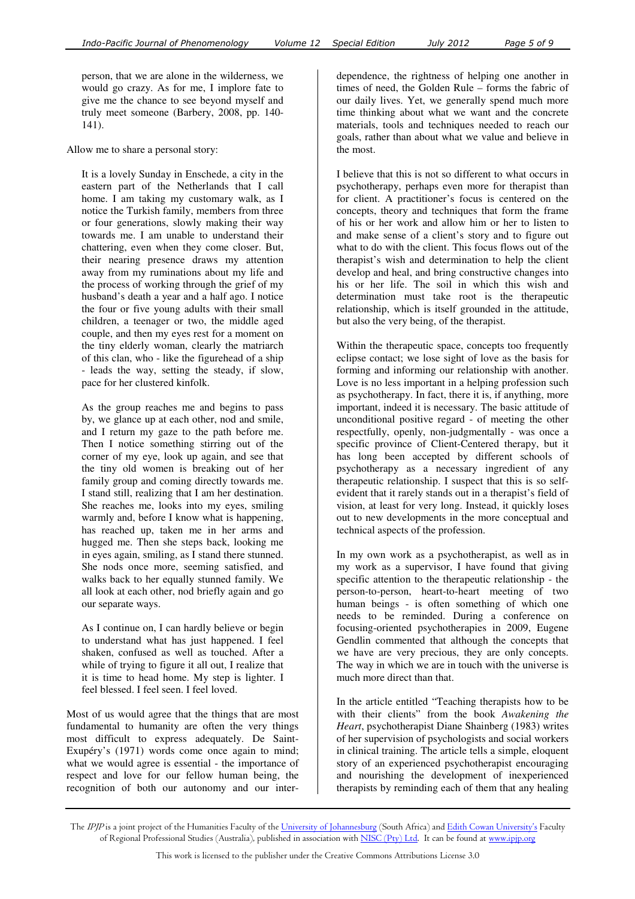person, that we are alone in the wilderness, we would go crazy. As for me, I implore fate to give me the chance to see beyond myself and truly meet someone (Barbery, 2008, pp. 140- 141).

Allow me to share a personal story:

It is a lovely Sunday in Enschede, a city in the eastern part of the Netherlands that I call home. I am taking my customary walk, as I notice the Turkish family, members from three or four generations, slowly making their way towards me. I am unable to understand their chattering, even when they come closer. But, their nearing presence draws my attention away from my ruminations about my life and the process of working through the grief of my husband's death a year and a half ago. I notice the four or five young adults with their small children, a teenager or two, the middle aged couple, and then my eyes rest for a moment on the tiny elderly woman, clearly the matriarch of this clan, who - like the figurehead of a ship - leads the way, setting the steady, if slow, pace for her clustered kinfolk.

As the group reaches me and begins to pass by, we glance up at each other, nod and smile, and I return my gaze to the path before me. Then I notice something stirring out of the corner of my eye, look up again, and see that the tiny old women is breaking out of her family group and coming directly towards me. I stand still, realizing that I am her destination. She reaches me, looks into my eyes, smiling warmly and, before I know what is happening, has reached up, taken me in her arms and hugged me. Then she steps back, looking me in eyes again, smiling, as I stand there stunned. She nods once more, seeming satisfied, and walks back to her equally stunned family. We all look at each other, nod briefly again and go our separate ways.

As I continue on, I can hardly believe or begin to understand what has just happened. I feel shaken, confused as well as touched. After a while of trying to figure it all out, I realize that it is time to head home. My step is lighter. I feel blessed. I feel seen. I feel loved.

Most of us would agree that the things that are most fundamental to humanity are often the very things most difficult to express adequately. De Saint-Exupéry's (1971) words come once again to mind; what we would agree is essential - the importance of respect and love for our fellow human being, the recognition of both our autonomy and our inter-

dependence, the rightness of helping one another in times of need, the Golden Rule – forms the fabric of our daily lives. Yet, we generally spend much more time thinking about what we want and the concrete materials, tools and techniques needed to reach our goals, rather than about what we value and believe in the most.

I believe that this is not so different to what occurs in psychotherapy, perhaps even more for therapist than for client. A practitioner's focus is centered on the concepts, theory and techniques that form the frame of his or her work and allow him or her to listen to and make sense of a client's story and to figure out what to do with the client. This focus flows out of the therapist's wish and determination to help the client develop and heal, and bring constructive changes into his or her life. The soil in which this wish and determination must take root is the therapeutic relationship, which is itself grounded in the attitude, but also the very being, of the therapist.

Within the therapeutic space, concepts too frequently eclipse contact; we lose sight of love as the basis for forming and informing our relationship with another. Love is no less important in a helping profession such as psychotherapy. In fact, there it is, if anything, more important, indeed it is necessary. The basic attitude of unconditional positive regard - of meeting the other respectfully, openly, non-judgmentally - was once a specific province of Client-Centered therapy, but it has long been accepted by different schools of psychotherapy as a necessary ingredient of any therapeutic relationship. I suspect that this is so selfevident that it rarely stands out in a therapist's field of vision, at least for very long. Instead, it quickly loses out to new developments in the more conceptual and technical aspects of the profession.

In my own work as a psychotherapist, as well as in my work as a supervisor, I have found that giving specific attention to the therapeutic relationship - the person-to-person, heart-to-heart meeting of two human beings - is often something of which one needs to be reminded. During a conference on focusing-oriented psychotherapies in 2009, Eugene Gendlin commented that although the concepts that we have are very precious, they are only concepts. The way in which we are in touch with the universe is much more direct than that.

In the article entitled "Teaching therapists how to be with their clients" from the book *Awakening the Heart*, psychotherapist Diane Shainberg (1983) writes of her supervision of psychologists and social workers in clinical training. The article tells a simple, eloquent story of an experienced psychotherapist encouraging and nourishing the development of inexperienced therapists by reminding each of them that any healing

The *IPJP* is a joint project of the Humanities Faculty of the <u>University of Johannesburg</u> (South Africa) and <u>Edith Cowan University's</u> Faculty of Regional Professional Studies (Australia), published in association with <u>NISC (Pty) Ltd</u>. It can be found at <u>www.ipjp.org</u>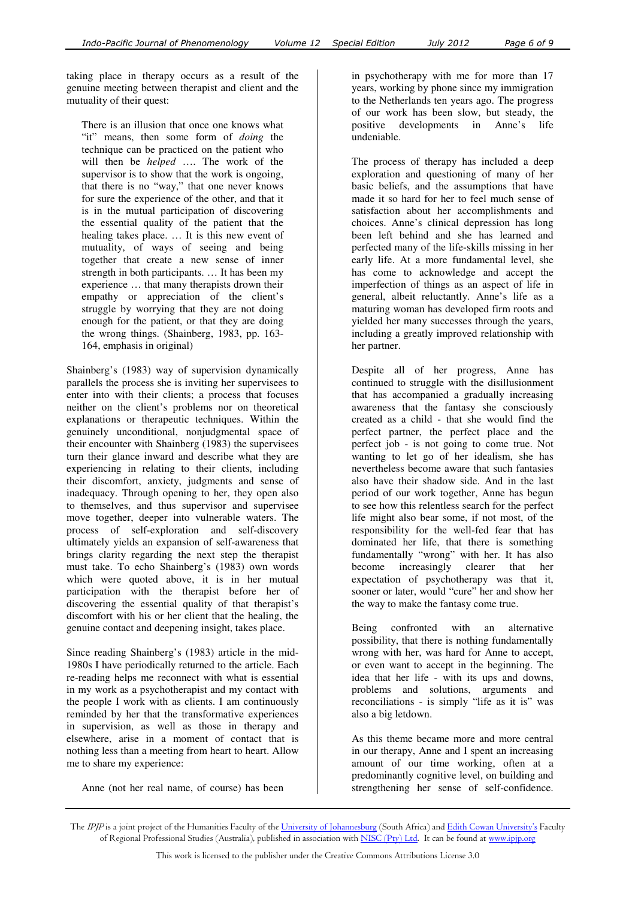taking place in therapy occurs as a result of the genuine meeting between therapist and client and the mutuality of their quest:

There is an illusion that once one knows what "it" means, then some form of *doing* the technique can be practiced on the patient who will then be *helped* …. The work of the supervisor is to show that the work is ongoing, that there is no "way," that one never knows for sure the experience of the other, and that it is in the mutual participation of discovering the essential quality of the patient that the healing takes place. … It is this new event of mutuality, of ways of seeing and being together that create a new sense of inner strength in both participants. … It has been my experience … that many therapists drown their empathy or appreciation of the client's struggle by worrying that they are not doing enough for the patient, or that they are doing the wrong things. (Shainberg, 1983, pp. 163- 164, emphasis in original)

Shainberg's (1983) way of supervision dynamically parallels the process she is inviting her supervisees to enter into with their clients; a process that focuses neither on the client's problems nor on theoretical explanations or therapeutic techniques. Within the genuinely unconditional, nonjudgmental space of their encounter with Shainberg (1983) the supervisees turn their glance inward and describe what they are experiencing in relating to their clients, including their discomfort, anxiety, judgments and sense of inadequacy. Through opening to her, they open also to themselves, and thus supervisor and supervisee move together, deeper into vulnerable waters. The process of self-exploration and self-discovery ultimately yields an expansion of self-awareness that brings clarity regarding the next step the therapist must take. To echo Shainberg's (1983) own words which were quoted above, it is in her mutual participation with the therapist before her of discovering the essential quality of that therapist's discomfort with his or her client that the healing, the genuine contact and deepening insight, takes place.

Since reading Shainberg's (1983) article in the mid-1980s I have periodically returned to the article. Each re-reading helps me reconnect with what is essential in my work as a psychotherapist and my contact with the people I work with as clients. I am continuously reminded by her that the transformative experiences in supervision, as well as those in therapy and elsewhere, arise in a moment of contact that is nothing less than a meeting from heart to heart. Allow me to share my experience:

Anne (not her real name, of course) has been

in psychotherapy with me for more than 17 years, working by phone since my immigration to the Netherlands ten years ago. The progress of our work has been slow, but steady, the positive developments in Anne's life undeniable.

The process of therapy has included a deep exploration and questioning of many of her basic beliefs, and the assumptions that have made it so hard for her to feel much sense of satisfaction about her accomplishments and choices. Anne's clinical depression has long been left behind and she has learned and perfected many of the life-skills missing in her early life. At a more fundamental level, she has come to acknowledge and accept the imperfection of things as an aspect of life in general, albeit reluctantly. Anne's life as a maturing woman has developed firm roots and yielded her many successes through the years, including a greatly improved relationship with her partner.

Despite all of her progress, Anne has continued to struggle with the disillusionment that has accompanied a gradually increasing awareness that the fantasy she consciously created as a child - that she would find the perfect partner, the perfect place and the perfect job - is not going to come true. Not wanting to let go of her idealism, she has nevertheless become aware that such fantasies also have their shadow side. And in the last period of our work together, Anne has begun to see how this relentless search for the perfect life might also bear some, if not most, of the responsibility for the well-fed fear that has dominated her life, that there is something fundamentally "wrong" with her. It has also become increasingly clearer that her expectation of psychotherapy was that it, sooner or later, would "cure" her and show her the way to make the fantasy come true.

Being confronted with an alternative possibility, that there is nothing fundamentally wrong with her, was hard for Anne to accept, or even want to accept in the beginning. The idea that her life - with its ups and downs, problems and solutions, arguments and reconciliations - is simply "life as it is" was also a big letdown.

As this theme became more and more central in our therapy, Anne and I spent an increasing amount of our time working, often at a predominantly cognitive level, on building and strengthening her sense of self-confidence.

The IPJP is a joint project of the Humanities Faculty of the University of Johannesburg (South Africa) and Edith Cowan University's Faculty of Regional Professional Studies (Australia), published in association with NISC (Pty) Ltd. It can be found at www.ipjp.org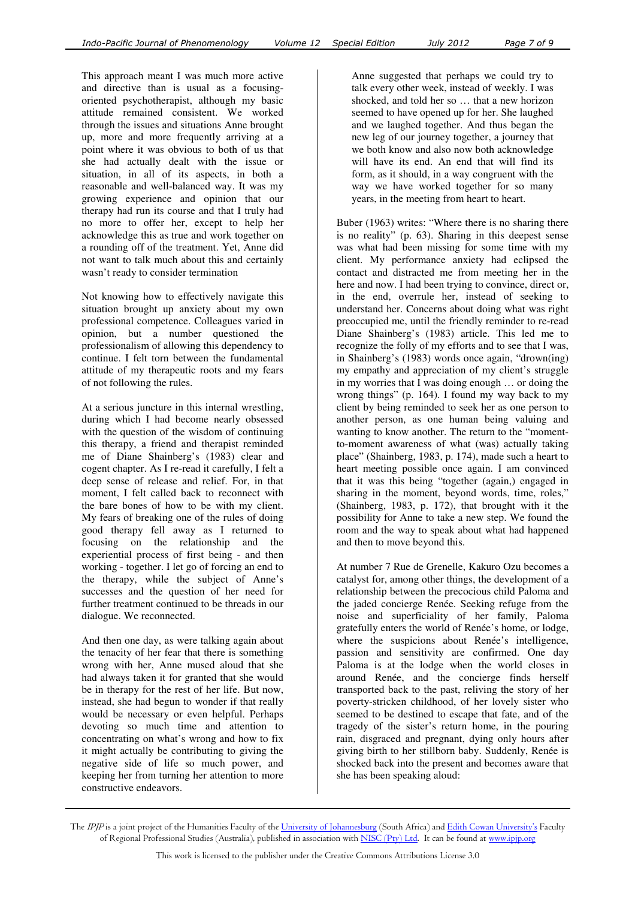This approach meant I was much more active and directive than is usual as a focusingoriented psychotherapist, although my basic attitude remained consistent. We worked through the issues and situations Anne brought up, more and more frequently arriving at a point where it was obvious to both of us that she had actually dealt with the issue or situation, in all of its aspects, in both a reasonable and well-balanced way. It was my growing experience and opinion that our therapy had run its course and that I truly had no more to offer her, except to help her acknowledge this as true and work together on a rounding off of the treatment. Yet, Anne did not want to talk much about this and certainly wasn't ready to consider termination

Not knowing how to effectively navigate this situation brought up anxiety about my own professional competence. Colleagues varied in opinion, but a number questioned the professionalism of allowing this dependency to continue. I felt torn between the fundamental attitude of my therapeutic roots and my fears of not following the rules.

At a serious juncture in this internal wrestling, during which I had become nearly obsessed with the question of the wisdom of continuing this therapy, a friend and therapist reminded me of Diane Shainberg's (1983) clear and cogent chapter. As I re-read it carefully, I felt a deep sense of release and relief. For, in that moment, I felt called back to reconnect with the bare bones of how to be with my client. My fears of breaking one of the rules of doing good therapy fell away as I returned to focusing on the relationship and the experiential process of first being - and then working - together. I let go of forcing an end to the therapy, while the subject of Anne's successes and the question of her need for further treatment continued to be threads in our dialogue. We reconnected.

And then one day, as were talking again about the tenacity of her fear that there is something wrong with her, Anne mused aloud that she had always taken it for granted that she would be in therapy for the rest of her life. But now, instead, she had begun to wonder if that really would be necessary or even helpful. Perhaps devoting so much time and attention to concentrating on what's wrong and how to fix it might actually be contributing to giving the negative side of life so much power, and keeping her from turning her attention to more constructive endeavors.

Anne suggested that perhaps we could try to talk every other week, instead of weekly. I was shocked, and told her so … that a new horizon seemed to have opened up for her. She laughed and we laughed together. And thus began the new leg of our journey together, a journey that we both know and also now both acknowledge will have its end. An end that will find its form, as it should, in a way congruent with the way we have worked together for so many years, in the meeting from heart to heart.

Buber (1963) writes: "Where there is no sharing there is no reality" (p. 63). Sharing in this deepest sense was what had been missing for some time with my client. My performance anxiety had eclipsed the contact and distracted me from meeting her in the here and now. I had been trying to convince, direct or, in the end, overrule her, instead of seeking to understand her. Concerns about doing what was right preoccupied me, until the friendly reminder to re-read Diane Shainberg's (1983) article. This led me to recognize the folly of my efforts and to see that I was, in Shainberg's (1983) words once again, "drown(ing) my empathy and appreciation of my client's struggle in my worries that I was doing enough … or doing the wrong things" (p. 164). I found my way back to my client by being reminded to seek her as one person to another person, as one human being valuing and wanting to know another. The return to the "momentto-moment awareness of what (was) actually taking place" (Shainberg, 1983, p. 174), made such a heart to heart meeting possible once again. I am convinced that it was this being "together (again,) engaged in sharing in the moment, beyond words, time, roles," (Shainberg, 1983, p. 172), that brought with it the possibility for Anne to take a new step. We found the room and the way to speak about what had happened and then to move beyond this.

At number 7 Rue de Grenelle, Kakuro Ozu becomes a catalyst for, among other things, the development of a relationship between the precocious child Paloma and the jaded concierge Renée. Seeking refuge from the noise and superficiality of her family, Paloma gratefully enters the world of Renée's home, or lodge, where the suspicions about Renée's intelligence, passion and sensitivity are confirmed. One day Paloma is at the lodge when the world closes in around Renée, and the concierge finds herself transported back to the past, reliving the story of her poverty-stricken childhood, of her lovely sister who seemed to be destined to escape that fate, and of the tragedy of the sister's return home, in the pouring rain, disgraced and pregnant, dying only hours after giving birth to her stillborn baby. Suddenly, Renée is shocked back into the present and becomes aware that she has been speaking aloud:

The IPJP is a joint project of the Humanities Faculty of the University of Johannesburg (South Africa) and Edith Cowan University's Faculty of Regional Professional Studies (Australia), published in association with NISC (Pty) Ltd. It can be found at www.ipjp.org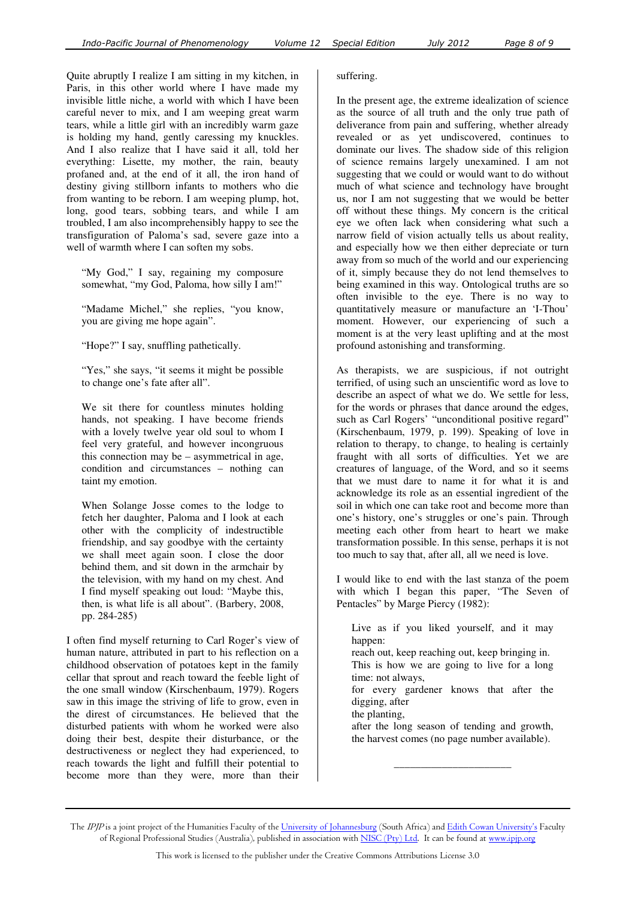Quite abruptly I realize I am sitting in my kitchen, in Paris, in this other world where I have made my invisible little niche, a world with which I have been careful never to mix, and I am weeping great warm tears, while a little girl with an incredibly warm gaze is holding my hand, gently caressing my knuckles. And I also realize that I have said it all, told her everything: Lisette, my mother, the rain, beauty profaned and, at the end of it all, the iron hand of destiny giving stillborn infants to mothers who die from wanting to be reborn. I am weeping plump, hot, long, good tears, sobbing tears, and while I am troubled, I am also incomprehensibly happy to see the transfiguration of Paloma's sad, severe gaze into a well of warmth where I can soften my sobs.

"My God," I say, regaining my composure somewhat, "my God, Paloma, how silly I am!"

"Madame Michel," she replies, "you know, you are giving me hope again".

"Hope?" I say, snuffling pathetically.

"Yes," she says, "it seems it might be possible to change one's fate after all".

We sit there for countless minutes holding hands, not speaking. I have become friends with a lovely twelve year old soul to whom I feel very grateful, and however incongruous this connection may be – asymmetrical in age, condition and circumstances – nothing can taint my emotion.

When Solange Josse comes to the lodge to fetch her daughter, Paloma and I look at each other with the complicity of indestructible friendship, and say goodbye with the certainty we shall meet again soon. I close the door behind them, and sit down in the armchair by the television, with my hand on my chest. And I find myself speaking out loud: "Maybe this, then, is what life is all about". (Barbery, 2008, pp. 284-285)

I often find myself returning to Carl Roger's view of human nature, attributed in part to his reflection on a childhood observation of potatoes kept in the family cellar that sprout and reach toward the feeble light of the one small window (Kirschenbaum, 1979). Rogers saw in this image the striving of life to grow, even in the direst of circumstances. He believed that the disturbed patients with whom he worked were also doing their best, despite their disturbance, or the destructiveness or neglect they had experienced, to reach towards the light and fulfill their potential to become more than they were, more than their

## suffering.

In the present age, the extreme idealization of science as the source of all truth and the only true path of deliverance from pain and suffering, whether already revealed or as yet undiscovered, continues to dominate our lives. The shadow side of this religion of science remains largely unexamined. I am not suggesting that we could or would want to do without much of what science and technology have brought us, nor I am not suggesting that we would be better off without these things. My concern is the critical eye we often lack when considering what such a narrow field of vision actually tells us about reality, and especially how we then either depreciate or turn away from so much of the world and our experiencing of it, simply because they do not lend themselves to being examined in this way. Ontological truths are so often invisible to the eye. There is no way to quantitatively measure or manufacture an 'I-Thou' moment. However, our experiencing of such a moment is at the very least uplifting and at the most profound astonishing and transforming.

As therapists, we are suspicious, if not outright terrified, of using such an unscientific word as love to describe an aspect of what we do. We settle for less, for the words or phrases that dance around the edges, such as Carl Rogers' "unconditional positive regard" (Kirschenbaum, 1979, p. 199). Speaking of love in relation to therapy, to change, to healing is certainly fraught with all sorts of difficulties. Yet we are creatures of language, of the Word, and so it seems that we must dare to name it for what it is and acknowledge its role as an essential ingredient of the soil in which one can take root and become more than one's history, one's struggles or one's pain. Through meeting each other from heart to heart we make transformation possible. In this sense, perhaps it is not too much to say that, after all, all we need is love.

I would like to end with the last stanza of the poem with which I began this paper, "The Seven of Pentacles" by Marge Piercy (1982):

Live as if you liked yourself, and it may happen: reach out, keep reaching out, keep bringing in. This is how we are going to live for a long time: not always, for every gardener knows that after the digging, after the planting, after the long season of tending and growth, the harvest comes (no page number available).

\_\_\_\_\_\_\_\_\_\_\_\_\_\_\_\_\_\_\_\_\_\_

The *IPJP* is a joint project of the Humanities Faculty of the <u>University of Johannesburg</u> (South Africa) and <u>Edith Cowan University's</u> Faculty of Regional Professional Studies (Australia), published in association with <u>NISC (Pty) Ltd</u>. It can be found at <u>www.ipjp.org</u>